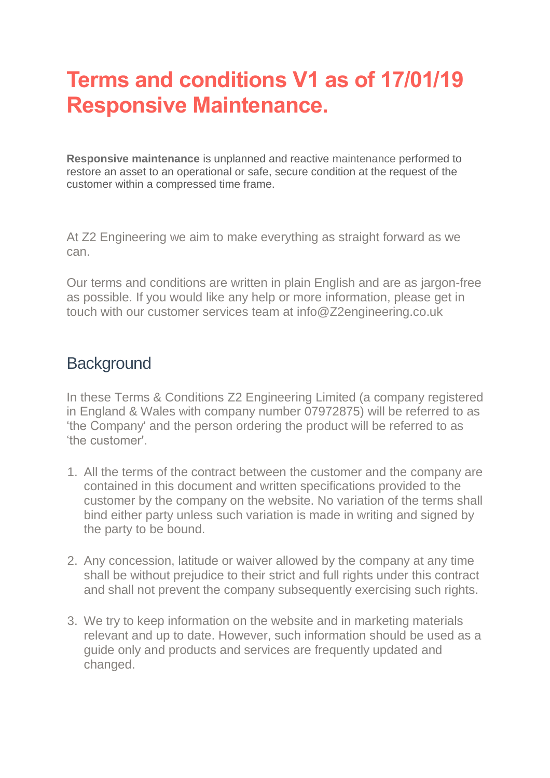# **Terms and conditions V1 as of 17/01/19 Responsive Maintenance.**

**Responsive maintenance** is unplanned and reactive maintenance performed to restore an asset to an operational or safe, secure condition at the request of the customer within a compressed time frame.

At Z2 Engineering we aim to make everything as straight forward as we can.

Our terms and conditions are written in plain English and are as jargon-free as possible. If you would like any help or more information, please get in touch with our customer services team at info@Z2engineering.co.uk

#### **Background**

In these Terms & Conditions Z2 Engineering Limited (a company registered in England & Wales with company number 07972875) will be referred to as 'the Company' and the person ordering the product will be referred to as 'the customer'.

- 1. All the terms of the contract between the customer and the company are contained in this document and written specifications provided to the customer by the company on the website. No variation of the terms shall bind either party unless such variation is made in writing and signed by the party to be bound.
- 2. Any concession, latitude or waiver allowed by the company at any time shall be without prejudice to their strict and full rights under this contract and shall not prevent the company subsequently exercising such rights.
- 3. We try to keep information on the website and in marketing materials relevant and up to date. However, such information should be used as a guide only and products and services are frequently updated and changed.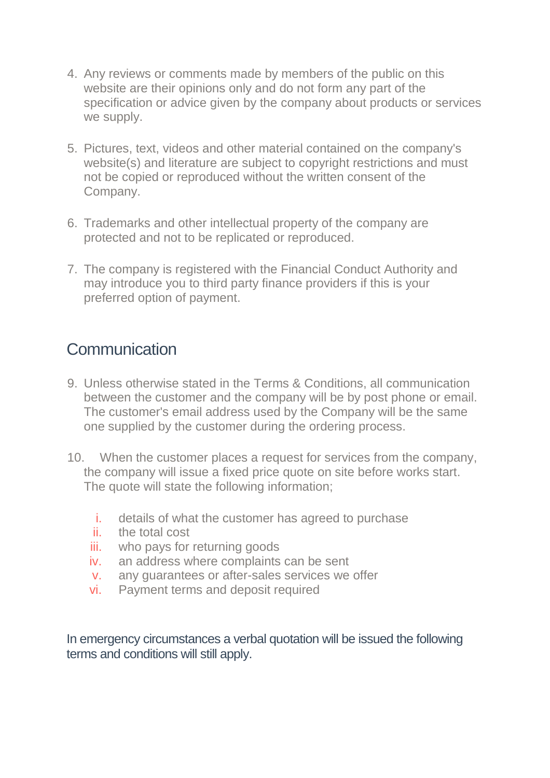- 4. Any reviews or comments made by members of the public on this website are their opinions only and do not form any part of the specification or advice given by the company about products or services we supply.
- 5. Pictures, text, videos and other material contained on the company's website(s) and literature are subject to copyright restrictions and must not be copied or reproduced without the written consent of the Company.
- 6. Trademarks and other intellectual property of the company are protected and not to be replicated or reproduced.
- 7. The company is registered with the Financial Conduct Authority and may introduce you to third party finance providers if this is your preferred option of payment.

#### **Communication**

- 9. Unless otherwise stated in the Terms & Conditions, all communication between the customer and the company will be by post phone or email. The customer's email address used by the Company will be the same one supplied by the customer during the ordering process.
- 10. When the customer places a request for services from the company, the company will issue a fixed price quote on site before works start. The quote will state the following information;
	- i. details of what the customer has agreed to purchase
	- ii. the total cost
	- iii. who pays for returning goods
	- iv. an address where complaints can be sent
	- v. any guarantees or after-sales services we offer
	- vi. Payment terms and deposit required

In emergency circumstances a verbal quotation will be issued the following terms and conditions will still apply.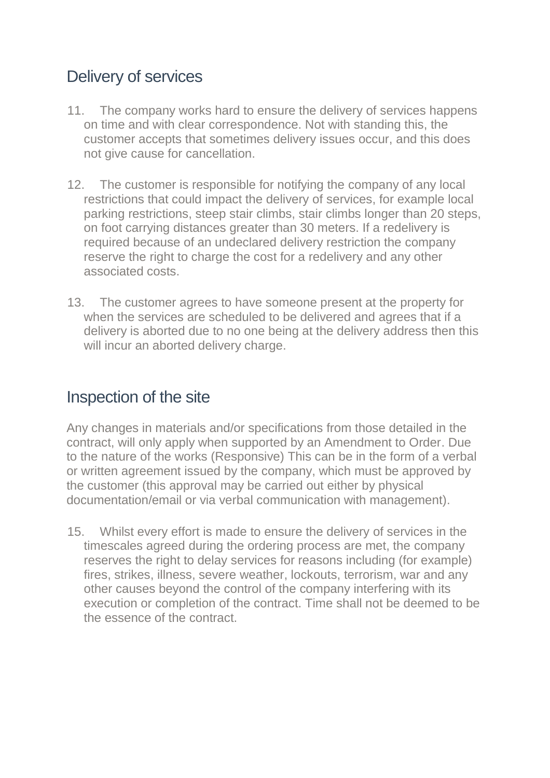## Delivery of services

- 11. The company works hard to ensure the delivery of services happens on time and with clear correspondence. Not with standing this, the customer accepts that sometimes delivery issues occur, and this does not give cause for cancellation.
- 12. The customer is responsible for notifying the company of any local restrictions that could impact the delivery of services, for example local parking restrictions, steep stair climbs, stair climbs longer than 20 steps, on foot carrying distances greater than 30 meters. If a redelivery is required because of an undeclared delivery restriction the company reserve the right to charge the cost for a redelivery and any other associated costs.
- 13. The customer agrees to have someone present at the property for when the services are scheduled to be delivered and agrees that if a delivery is aborted due to no one being at the delivery address then this will incur an aborted delivery charge.

#### Inspection of the site

Any changes in materials and/or specifications from those detailed in the contract, will only apply when supported by an Amendment to Order. Due to the nature of the works (Responsive) This can be in the form of a verbal or written agreement issued by the company, which must be approved by the customer (this approval may be carried out either by physical documentation/email or via verbal communication with management).

15. Whilst every effort is made to ensure the delivery of services in the timescales agreed during the ordering process are met, the company reserves the right to delay services for reasons including (for example) fires, strikes, illness, severe weather, lockouts, terrorism, war and any other causes beyond the control of the company interfering with its execution or completion of the contract. Time shall not be deemed to be the essence of the contract.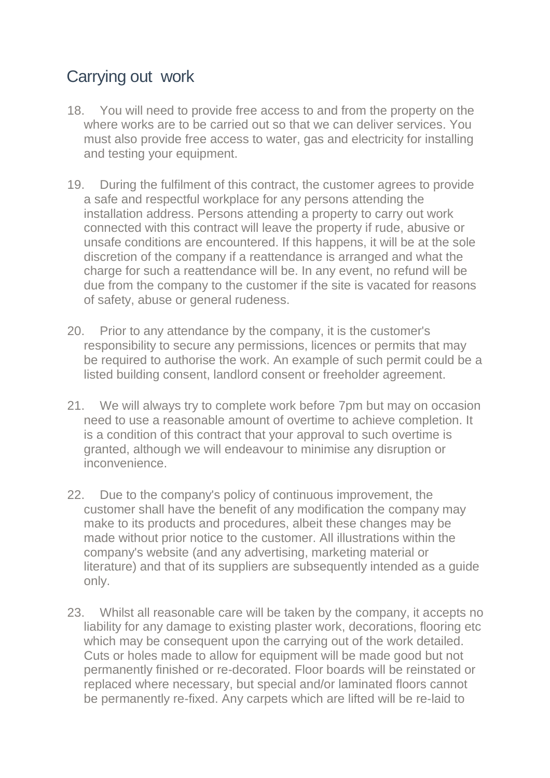## Carrying out work

- 18. You will need to provide free access to and from the property on the where works are to be carried out so that we can deliver services. You must also provide free access to water, gas and electricity for installing and testing your equipment.
- 19. During the fulfilment of this contract, the customer agrees to provide a safe and respectful workplace for any persons attending the installation address. Persons attending a property to carry out work connected with this contract will leave the property if rude, abusive or unsafe conditions are encountered. If this happens, it will be at the sole discretion of the company if a reattendance is arranged and what the charge for such a reattendance will be. In any event, no refund will be due from the company to the customer if the site is vacated for reasons of safety, abuse or general rudeness.
- 20. Prior to any attendance by the company, it is the customer's responsibility to secure any permissions, licences or permits that may be required to authorise the work. An example of such permit could be a listed building consent, landlord consent or freeholder agreement.
- 21. We will always try to complete work before 7pm but may on occasion need to use a reasonable amount of overtime to achieve completion. It is a condition of this contract that your approval to such overtime is granted, although we will endeavour to minimise any disruption or inconvenience.
- 22. Due to the company's policy of continuous improvement, the customer shall have the benefit of any modification the company may make to its products and procedures, albeit these changes may be made without prior notice to the customer. All illustrations within the company's website (and any advertising, marketing material or literature) and that of its suppliers are subsequently intended as a guide only.
- 23. Whilst all reasonable care will be taken by the company, it accepts no liability for any damage to existing plaster work, decorations, flooring etc which may be consequent upon the carrying out of the work detailed. Cuts or holes made to allow for equipment will be made good but not permanently finished or re-decorated. Floor boards will be reinstated or replaced where necessary, but special and/or laminated floors cannot be permanently re-fixed. Any carpets which are lifted will be re-laid to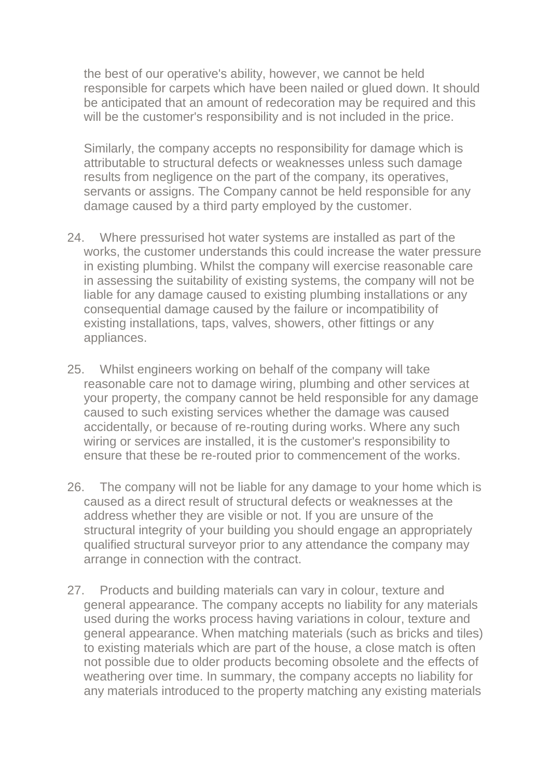the best of our operative's ability, however, we cannot be held responsible for carpets which have been nailed or glued down. It should be anticipated that an amount of redecoration may be required and this will be the customer's responsibility and is not included in the price.

Similarly, the company accepts no responsibility for damage which is attributable to structural defects or weaknesses unless such damage results from negligence on the part of the company, its operatives, servants or assigns. The Company cannot be held responsible for any damage caused by a third party employed by the customer.

- 24. Where pressurised hot water systems are installed as part of the works, the customer understands this could increase the water pressure in existing plumbing. Whilst the company will exercise reasonable care in assessing the suitability of existing systems, the company will not be liable for any damage caused to existing plumbing installations or any consequential damage caused by the failure or incompatibility of existing installations, taps, valves, showers, other fittings or any appliances.
- 25. Whilst engineers working on behalf of the company will take reasonable care not to damage wiring, plumbing and other services at your property, the company cannot be held responsible for any damage caused to such existing services whether the damage was caused accidentally, or because of re-routing during works. Where any such wiring or services are installed, it is the customer's responsibility to ensure that these be re-routed prior to commencement of the works.
- 26. The company will not be liable for any damage to your home which is caused as a direct result of structural defects or weaknesses at the address whether they are visible or not. If you are unsure of the structural integrity of your building you should engage an appropriately qualified structural surveyor prior to any attendance the company may arrange in connection with the contract.
- 27. Products and building materials can vary in colour, texture and general appearance. The company accepts no liability for any materials used during the works process having variations in colour, texture and general appearance. When matching materials (such as bricks and tiles) to existing materials which are part of the house, a close match is often not possible due to older products becoming obsolete and the effects of weathering over time. In summary, the company accepts no liability for any materials introduced to the property matching any existing materials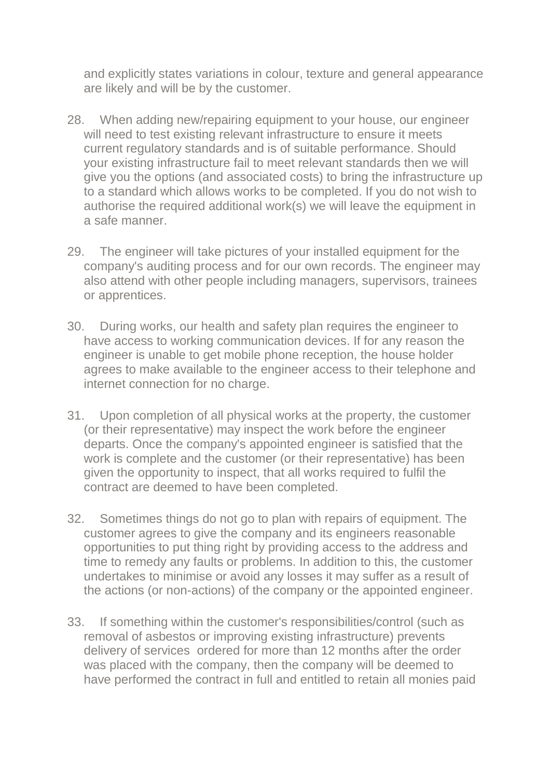and explicitly states variations in colour, texture and general appearance are likely and will be by the customer.

- 28. When adding new/repairing equipment to your house, our engineer will need to test existing relevant infrastructure to ensure it meets current regulatory standards and is of suitable performance. Should your existing infrastructure fail to meet relevant standards then we will give you the options (and associated costs) to bring the infrastructure up to a standard which allows works to be completed. If you do not wish to authorise the required additional work(s) we will leave the equipment in a safe manner.
- 29. The engineer will take pictures of your installed equipment for the company's auditing process and for our own records. The engineer may also attend with other people including managers, supervisors, trainees or apprentices.
- 30. During works, our health and safety plan requires the engineer to have access to working communication devices. If for any reason the engineer is unable to get mobile phone reception, the house holder agrees to make available to the engineer access to their telephone and internet connection for no charge.
- 31. Upon completion of all physical works at the property, the customer (or their representative) may inspect the work before the engineer departs. Once the company's appointed engineer is satisfied that the work is complete and the customer (or their representative) has been given the opportunity to inspect, that all works required to fulfil the contract are deemed to have been completed.
- 32. Sometimes things do not go to plan with repairs of equipment. The customer agrees to give the company and its engineers reasonable opportunities to put thing right by providing access to the address and time to remedy any faults or problems. In addition to this, the customer undertakes to minimise or avoid any losses it may suffer as a result of the actions (or non-actions) of the company or the appointed engineer.
- 33. If something within the customer's responsibilities/control (such as removal of asbestos or improving existing infrastructure) prevents delivery of services ordered for more than 12 months after the order was placed with the company, then the company will be deemed to have performed the contract in full and entitled to retain all monies paid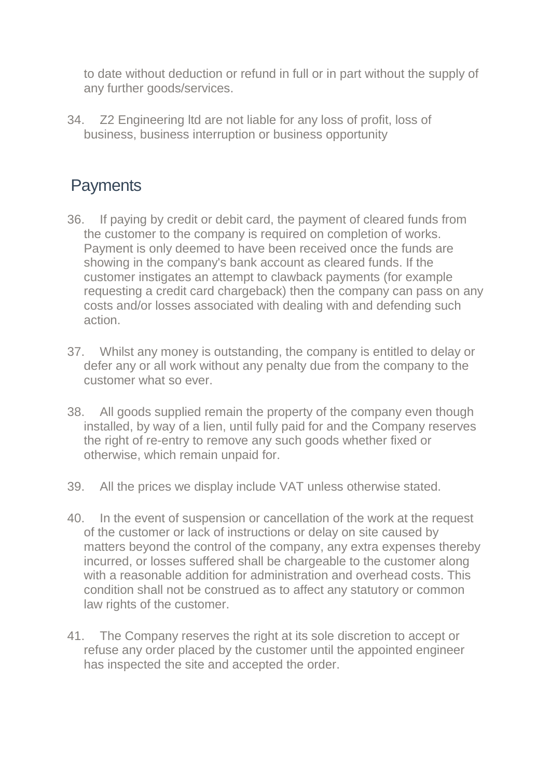to date without deduction or refund in full or in part without the supply of any further goods/services.

34. Z2 Engineering ltd are not liable for any loss of profit, loss of business, business interruption or business opportunity

## **Payments**

- 36. If paying by credit or debit card, the payment of cleared funds from the customer to the company is required on completion of works. Payment is only deemed to have been received once the funds are showing in the company's bank account as cleared funds. If the customer instigates an attempt to clawback payments (for example requesting a credit card chargeback) then the company can pass on any costs and/or losses associated with dealing with and defending such action.
- 37. Whilst any money is outstanding, the company is entitled to delay or defer any or all work without any penalty due from the company to the customer what so ever.
- 38. All goods supplied remain the property of the company even though installed, by way of a lien, until fully paid for and the Company reserves the right of re-entry to remove any such goods whether fixed or otherwise, which remain unpaid for.
- 39. All the prices we display include VAT unless otherwise stated.
- 40. In the event of suspension or cancellation of the work at the request of the customer or lack of instructions or delay on site caused by matters beyond the control of the company, any extra expenses thereby incurred, or losses suffered shall be chargeable to the customer along with a reasonable addition for administration and overhead costs. This condition shall not be construed as to affect any statutory or common law rights of the customer.
- 41. The Company reserves the right at its sole discretion to accept or refuse any order placed by the customer until the appointed engineer has inspected the site and accepted the order.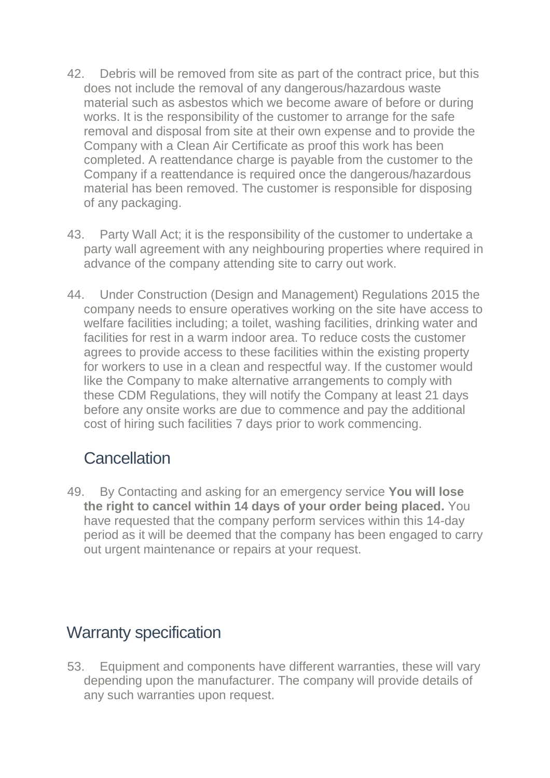- 42. Debris will be removed from site as part of the contract price, but this does not include the removal of any dangerous/hazardous waste material such as asbestos which we become aware of before or during works. It is the responsibility of the customer to arrange for the safe removal and disposal from site at their own expense and to provide the Company with a Clean Air Certificate as proof this work has been completed. A reattendance charge is payable from the customer to the Company if a reattendance is required once the dangerous/hazardous material has been removed. The customer is responsible for disposing of any packaging.
- 43. Party Wall Act; it is the responsibility of the customer to undertake a party wall agreement with any neighbouring properties where required in advance of the company attending site to carry out work.
- 44. Under Construction (Design and Management) Regulations 2015 the company needs to ensure operatives working on the site have access to welfare facilities including; a toilet, washing facilities, drinking water and facilities for rest in a warm indoor area. To reduce costs the customer agrees to provide access to these facilities within the existing property for workers to use in a clean and respectful way. If the customer would like the Company to make alternative arrangements to comply with these CDM Regulations, they will notify the Company at least 21 days before any onsite works are due to commence and pay the additional cost of hiring such facilities 7 days prior to work commencing.

#### **Cancellation**

49. By Contacting and asking for an emergency service **You will lose the right to cancel within 14 days of your order being placed.** You have requested that the company perform services within this 14-day period as it will be deemed that the company has been engaged to carry out urgent maintenance or repairs at your request.

## Warranty specification

53. Equipment and components have different warranties, these will vary depending upon the manufacturer. The company will provide details of any such warranties upon request.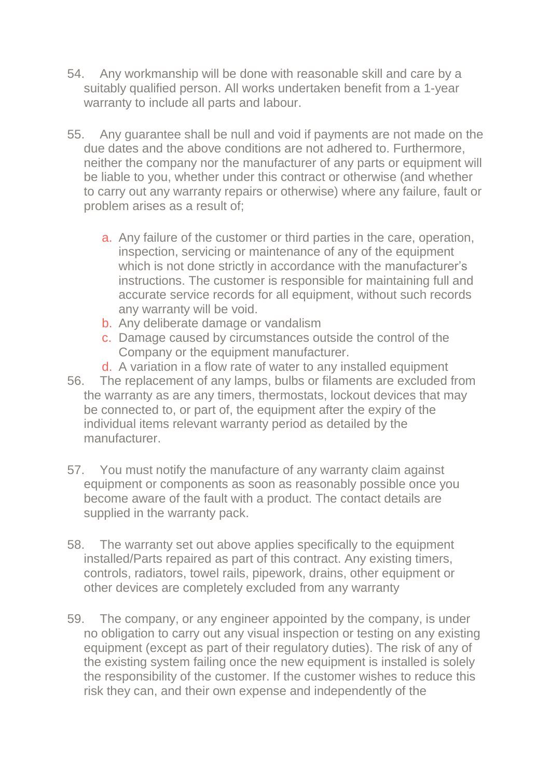- 54. Any workmanship will be done with reasonable skill and care by a suitably qualified person. All works undertaken benefit from a 1-year warranty to include all parts and labour.
- 55. Any guarantee shall be null and void if payments are not made on the due dates and the above conditions are not adhered to. Furthermore, neither the company nor the manufacturer of any parts or equipment will be liable to you, whether under this contract or otherwise (and whether to carry out any warranty repairs or otherwise) where any failure, fault or problem arises as a result of;
	- a. Any failure of the customer or third parties in the care, operation, inspection, servicing or maintenance of any of the equipment which is not done strictly in accordance with the manufacturer's instructions. The customer is responsible for maintaining full and accurate service records for all equipment, without such records any warranty will be void.
	- b. Any deliberate damage or vandalism
	- c. Damage caused by circumstances outside the control of the Company or the equipment manufacturer.
	- d. A variation in a flow rate of water to any installed equipment
- 56. The replacement of any lamps, bulbs or filaments are excluded from the warranty as are any timers, thermostats, lockout devices that may be connected to, or part of, the equipment after the expiry of the individual items relevant warranty period as detailed by the manufacturer.
- 57. You must notify the manufacture of any warranty claim against equipment or components as soon as reasonably possible once you become aware of the fault with a product. The contact details are supplied in the warranty pack.
- 58. The warranty set out above applies specifically to the equipment installed/Parts repaired as part of this contract. Any existing timers, controls, radiators, towel rails, pipework, drains, other equipment or other devices are completely excluded from any warranty
- 59. The company, or any engineer appointed by the company, is under no obligation to carry out any visual inspection or testing on any existing equipment (except as part of their regulatory duties). The risk of any of the existing system failing once the new equipment is installed is solely the responsibility of the customer. If the customer wishes to reduce this risk they can, and their own expense and independently of the